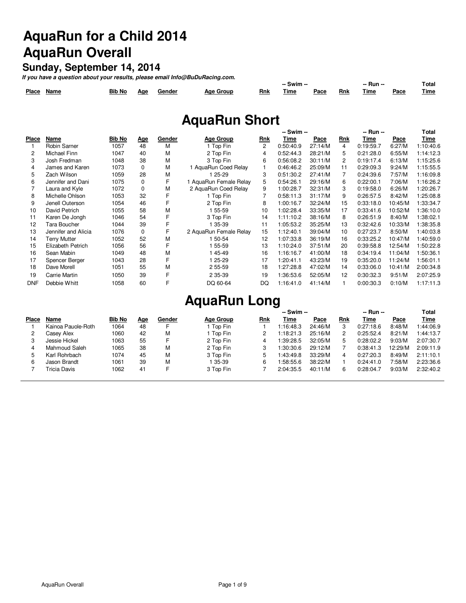# **AquaRun for a Child 2014 AquaRun Overall**

#### **Sunday, September 14, 2014**

**If you have a question about your results, please email Info@BuDuRacing.com.**

|       |      |               |     |        |              |     | Swim -- |      |     | Run -<br>____ |                  | --<br><b>Total</b> |
|-------|------|---------------|-----|--------|--------------|-----|---------|------|-----|---------------|------------------|--------------------|
| Place | Name | <b>Bib No</b> | Ααε | Gender | Aae<br>Group | Rnk | Time    | Pace | Rnk | Fime          | $P_{\text{ace}}$ | <b>Time</b>        |

# **AquaRun Short**

|              |                     |        |            |        |                        | -- Swim --     |           |         |     | -- Run -- | Total   |           |
|--------------|---------------------|--------|------------|--------|------------------------|----------------|-----------|---------|-----|-----------|---------|-----------|
| <b>Place</b> | Name                | Bib No | <u>Age</u> | Gender | <b>Age Group</b>       | Rnk            | Time      | Pace    | Rnk | Time      | Pace    | Time      |
|              | Robin Sarner        | 1057   | 48         | М      | 1 Top Fin              | $\overline{2}$ | 0:50:40.9 | 27:14/M | 4   | 0:19:59.7 | 6:27/M  | 1:10:40.6 |
| 2            | Michael Finn        | 1047   | 40         | М      | 2 Top Fin              | 4              | 0:52:44.3 | 28:21/M | 5.  | 0:21:28.0 | 6:55/M  | 1:14:12.3 |
| 3            | Josh Fredman        | 1048   | 38         | М      | 3 Top Fin              | 6              | 0:56:08.2 | 30:11/M | 2   | 0:19:17.4 | 6:13/M  | 1:15:25.6 |
| 4            | James and Karen     | 1073   | 0          | М      | 1 AquaRun Coed Relay   |                | 0:46:46.2 | 25:09/M | 11  | 0:29:09.3 | 9:24/M  | 1:15:55.5 |
| 5            | Zach Wilson         | 1059   | 28         | М      | 1 25-29                | 3              | 0:51:30.2 | 27:41/M |     | 0:24:39.6 | 7:57/M  | 1:16:09.8 |
| 6            | Jennifer and Dani   | 1075   | $\Omega$   | F      | 1 AguaRun Female Relay | 5.             | 0:54:26.1 | 29:16/M | 6   | 0:22:00.1 | 7:06/M  | 1:16:26.2 |
|              | Laura and Kyle      | 1072   | $\Omega$   | М      | 2 AguaRun Coed Relay   | 9              | 1:00:28.7 | 32:31/M | 3   | 0:19:58.0 | 6:26/M  | 1:20:26.7 |
| 8            | Michelle Ohlson     | 1053   | 32         |        | 1 Top Fin              |                | 0:58:11.3 | 31:17/M | 9   | 0:26:57.5 | 8:42/M  | 1:25:08.8 |
| 9            | Jenell Outerson     | 1054   | 46         |        | 2 Top Fin              | 8              | 1:00:16.7 | 32:24/M | 15  | 0:33:18.0 | 10:45/M | 1:33:34.7 |
| 10           | David Petrich       | 1055   | 58         | М      | 1 55-59                | 10             | 1:02:28.4 | 33:35/M | 17  | 0:33:41.6 | 10:52/M | 1:36:10.0 |
| 11           | Karen De Jongh      | 1046   | 54         | F      | 3 Top Fin              | 14             | 1:11:10.2 | 38:16/M | 8   | 0:26:51.9 | 8:40/M  | 1:38:02.1 |
| 12           | Tara Boucher        | 1044   | 39         |        | 1 35-39                | 11             | 1:05:53.2 | 35:25/M | 13  | 0:32:42.6 | 10:33/M | 1:38:35.8 |
| 13           | Jennifer and Alicia | 1076   | $\Omega$   | F      | 2 AguaRun Female Relay | 15             | 1:12:40.1 | 39:04/M | 10  | 0:27:23.7 | 8:50/M  | 1:40:03.8 |
| 14           | <b>Terry Mutter</b> | 1052   | 52         | М      | 1 50-54                | 12             | 1:07:33.8 | 36:19/M | 16  | 0:33:25.2 | 10:47/M | 1:40:59.0 |
| 15           | Elizabeth Petrich   | 1056   | 56         |        | $155 - 59$             | 13             | 1:10:24.0 | 37:51/M | 20  | 0:39:58.8 | 12:54/M | 1:50:22.8 |
| 16           | Sean Mabin          | 1049   | 48         | М      | 145-49                 | 16             | 1:16:16.7 | 41:00/M | 18  | 0:34:19.4 | 11:04/M | 1:50:36.1 |
| 17           | Spencer Berger      | 1043   | 28         |        | 1 25-29                | 17             | 1:20:41.1 | 43:23/M | 19  | 0:35:20.0 | 11:24/M | 1:56:01.1 |
| 18           | Dave Morell         | 1051   | 55         | М      | 2 55-59                | 18             | 1:27:28.8 | 47:02/M | 14  | 0:33:06.0 | 10:41/M | 2:00:34.8 |
| 19           | Carrie Martin       | 1050   | 39         | F      | 2 35-39                | 19             | 1:36:53.6 | 52:05/M | 12  | 0:30:32.3 | 9:51/M  | 2:07:25.9 |
| <b>DNF</b>   | Debbie Whitt        | 1058   | 60         | F      | DQ 60-64               | DQ.            | 1:16:41.0 | 41:14/M |     | 0:00:30.3 | 0:10/M  | 1:17:11.3 |

# **AquaRun Long**

|              |                    |               |     |        |                  | -- Swim -- |           |         | -- Run -- |           |         | <b>Total</b> |
|--------------|--------------------|---------------|-----|--------|------------------|------------|-----------|---------|-----------|-----------|---------|--------------|
| <b>Place</b> | Name               | <b>Bib No</b> | Age | Gender | <b>Age Group</b> | Rnk        | Time      | Pace    | Rnk       | Time      | Pace    | Time         |
|              | Kainoa Pauole-Roth | 1064          | 48  |        | I Top Fin        |            | 1:16:48.3 | 24:46/M | 3         | 0:27:18.6 | 8:48/M  | 1:44:06.9    |
|              | Casey Alex         | 1060          | 42  | М      | I Top Fin        |            | 1:18:21.3 | 25:16/M | 2         | 0:25:52.4 | 8:21/M  | 1:44:13.7    |
|              | Jessie Hickel      | 1063          | 55  |        | 2 Top Fin        |            | :39:28.5  | 32:05/M | 5         | 0:28:02.2 | 9:03/M  | 2:07:30.7    |
| 4            | Mahmoud Saleh      | 1065          | 38  | M      | 2 Top Fin        |            | 1:30:30.6 | 29:12/M |           | 0:38:41.3 | 12:29/M | 2:09:11.9    |
| 5            | Karl Rohrbach      | 1074          | 45  | M      | 3 Top Fin        |            | 1:43:49.8 | 33:29/M |           | 0:27:20.3 | 8:49/M  | 2:11:10.1    |
| 6            | Jason Brandt       | 1061          | 39  | М      | 135-39           |            | :58:55.6  | 38:22/M |           | 0:24:41.0 | 7:58/M  | 2:23:36.6    |
|              | Tricia Davis       | 1062          | 41  |        | 3 Top Fin        |            | 2:04:35.5 | 40:11/M | 6         | 0:28:04.7 | 9:03/M  | 2:32:40.2    |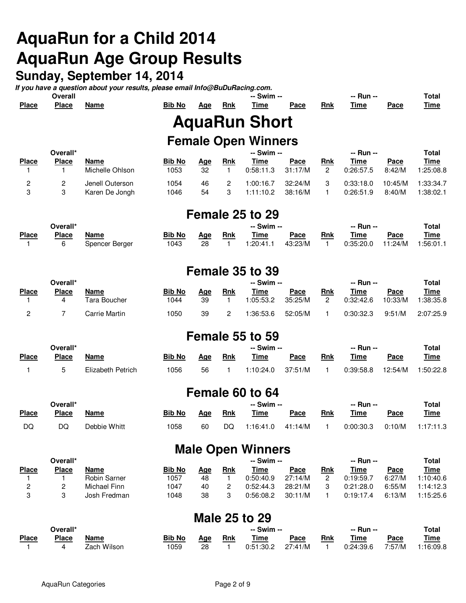# **AquaRun for a Child 2014 AquaRun Age Group Results**

# **Sunday, September 14, 2014**

**If you have a question about your results, please email Info@BuDuRacing.com.**

|              | <b>Overall</b> |      |               |     |            | -- Swim --                 |      |            | -- Run -- |      | Total       |
|--------------|----------------|------|---------------|-----|------------|----------------------------|------|------------|-----------|------|-------------|
| <b>Place</b> | <b>Place</b>   | Name | <b>Bib No</b> | Age | <b>Rnk</b> | Time                       | Pace | <b>Rnk</b> | Time      | Pace | <u>Time</u> |
|              |                |      |               |     |            | <b>AquaRun Short</b>       |      |            |           |      |             |
|              |                |      |               |     |            | <b>Female Open Winners</b> |      |            |           |      |             |
|              | Overall*       |      |               |     |            | -- Swim --                 |      |            | -- Run -- |      | Total       |
| <b>Place</b> | <b>Place</b>   | Name | <b>Bib No</b> | Age | Rnk        | Time                       | Pace | <b>Rnk</b> | Time      | Pace | Time        |

| <b>Place</b> | <b>Place</b> | Name            | <b>Bib No</b> | Aae | <b>Rnk</b> | Time      | Pace    | Rnk | Time      | Pace    | Time      |
|--------------|--------------|-----------------|---------------|-----|------------|-----------|---------|-----|-----------|---------|-----------|
|              |              | Michelle Ohlson | 1053          | 32  |            | 0:58:11.3 | 31:17/M |     | 0:26:57.5 | 8:42/M  | 1:25:08.8 |
|              |              | Jenell Outerson | 1054          | 46  |            | 1:00:16.7 | 32:24/M |     | 0:33:18.0 | 10:45/M | 1:33:34.7 |
|              |              | Karen De Jongh  | 1046          | 54  |            | 1:11:10.2 | 38:16/M |     | 0.26:51.9 | 8:40/M  | 1:38:02.1 |

## **Female 25 to 29**

|              | Overall*     |                |               |     |     | -- Swim -- |         |            | -- Run -- |         | <b>Total</b> |
|--------------|--------------|----------------|---------------|-----|-----|------------|---------|------------|-----------|---------|--------------|
| <b>Place</b> | <b>Place</b> | <b>Name</b>    | <b>Bib No</b> | Aae | Rnk | Time       | Pace    | <b>Rnk</b> | Time      | Pace    | <u>Time</u>  |
|              |              | Spencer Berger | 1043          | 28  |     | 1:20:41.1  | 43:23/M |            | 0.35:20.0 | 11:24/M | 1:56:01.1    |

### **Female 35 to 39**

| Overall*     |              |               |               |            |            | -- Swim -- |         |     | -- Run -- |         | Total       |  |
|--------------|--------------|---------------|---------------|------------|------------|------------|---------|-----|-----------|---------|-------------|--|
| <b>Place</b> | <b>Place</b> | Name          | <b>Bib No</b> | <u>Aqe</u> | <b>Rnk</b> | Time       | Pace    | Rnk | Time      | Pace    | <u>Time</u> |  |
|              |              | Tara Boucher  | 1044          | 39         |            | 1:05:53.2  | 35:25/M |     | 0:32:42.6 | 10:33/M | 1:38:35.8   |  |
|              |              | Carrie Martin | 1050          | 39         | <u>_</u>   | 1:36:53.6  | 52:05/M |     | 0:30:32.3 | 9:51/M  | 2:07:25.9   |  |

## **Female 55 to 59**

| Overall*     |              |                   |               |     |            | -- Swim -- |         |            | -- Run -- |         | Total       |
|--------------|--------------|-------------------|---------------|-----|------------|------------|---------|------------|-----------|---------|-------------|
| <b>Place</b> | <b>Place</b> | Name              | <b>Bib No</b> | Aae | <b>Rnk</b> | Time       | Pace    | <b>Rnk</b> | Time      | Pace    | <u>Time</u> |
|              |              | Elizabeth Petrich | 1056          | 56  |            | 1:10:24.0  | 37:51/M |            | 0:39:58.8 | 12:54/M | 1:50:22.8   |

### **Female 60 to 64**

| Overall*     |              |              |               |     |     | -- Swim -- |         |     | -- Run -- |        | Total       |
|--------------|--------------|--------------|---------------|-----|-----|------------|---------|-----|-----------|--------|-------------|
| <b>Place</b> | <b>Place</b> | Name         | <b>Bib No</b> | Aqe | Rnk | Time       | Pace    | Rnk | Time      | Pace   | <u>Time</u> |
| DQ           | DC           | Debbie Whitt | 1058          | 60  | DQ  | 1:16:41.0  | 41:14/M |     | 0:00:30.3 | 0:10/M | 1:17:11.3   |

### **Male Open Winners**

| Overall*     |              |                     |               |     | -- Swim -- |           |         |     | -- Run -- |        |             |
|--------------|--------------|---------------------|---------------|-----|------------|-----------|---------|-----|-----------|--------|-------------|
| <b>Place</b> | <b>Place</b> | Name                | <b>Bib No</b> | Aae | Rnk        | Time      | Pace    | Rnk | Time      | Pace   | <u>Time</u> |
|              |              | <b>Robin Sarner</b> | 1057          | 48  |            | 0:50:40.9 | 27:14/M |     | 0:19:59.7 | 6:27/M | 1:10:40.6   |
|              |              | Michael Finn        | 1047          | 40  |            | 0:52:44.3 | 28:21/M |     | 0:21:28.0 | 6:55/M | 1:14:12.3   |
|              |              | Josh Fredman        | 1048          | 38  |            | 0:56:08.2 | 30:11/M |     | 0:19:17.4 | 6:13/M | 1:15:25.6   |

### **Male 25 to 29**

| Overall*     |              |             |        | -- Swim -- |            |             |         |            |           |        | <b>Total</b> |  |
|--------------|--------------|-------------|--------|------------|------------|-------------|---------|------------|-----------|--------|--------------|--|
| <b>Place</b> | <b>Place</b> | <b>Name</b> | Bib No | Aae        | <b>Rnk</b> | <b>Time</b> | Pace    | <b>Rnk</b> | Time      | Pace   | <u>Time</u>  |  |
|              |              | Zach Wilson | '059   | 28         |            | 0:51:30.2   | 27:41/M |            | 0:24:39.6 | 7:57/M | 1:16:09.8    |  |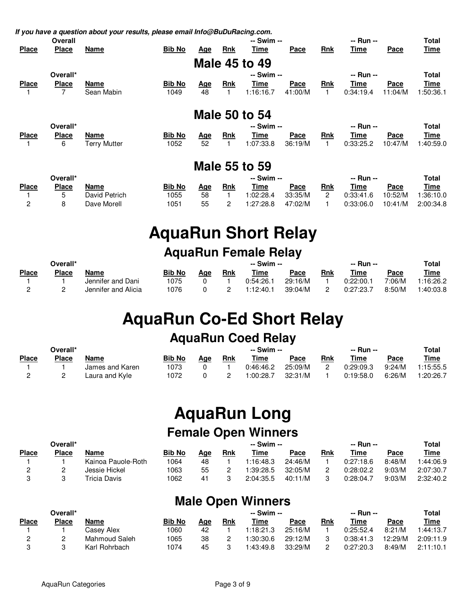|  |  | If you have a question about your results, please email Info@BuDuRacing.com. |  |
|--|--|------------------------------------------------------------------------------|--|
|  |  |                                                                              |  |

|              | Overall      | ----- -             | -- Swim --    |            |            |                      |             | -- Run --  |             |             | <b>Total</b> |
|--------------|--------------|---------------------|---------------|------------|------------|----------------------|-------------|------------|-------------|-------------|--------------|
| <b>Place</b> | <b>Place</b> | Name                | <b>Bib No</b> | <u>Age</u> | <b>Rnk</b> | Time                 | <u>Pace</u> | <b>Rnk</b> | <u>Time</u> | Pace        | <u>Time</u>  |
|              |              |                     |               |            |            | <b>Male 45 to 49</b> |             |            |             |             |              |
|              | Overall*     |                     |               |            |            | -- Swim --           |             |            | -- Run --   |             | <b>Total</b> |
| <b>Place</b> | <b>Place</b> | Name                | <b>Bib No</b> | <u>Age</u> | <b>Rnk</b> | Time                 | Pace        | <b>Rnk</b> | Time        | Pace        | Time         |
|              | 7            | Sean Mabin          | 1049          | 48         |            | 1:16:16.7            | 41:00/M     |            | 0:34:19.4   | 11:04/M     | 1:50:36.1    |
|              |              |                     |               |            |            |                      |             |            |             |             |              |
|              |              |                     |               |            |            | <b>Male 50 to 54</b> |             |            |             |             |              |
|              | Overall*     |                     |               |            |            | -- Swim --           |             |            | -- Run --   |             | <b>Total</b> |
| <b>Place</b> | <b>Place</b> | Name                | <b>Bib No</b> | <u>Age</u> | <b>Rnk</b> | Time                 | Pace        | <b>Rnk</b> | Time        | <u>Pace</u> | <u>Time</u>  |
|              | 6            | <b>Terry Mutter</b> | 1052          | 52         |            | 1:07:33.8            | 36:19/M     |            | 0:33:25.2   | 10:47/M     | 1:40:59.0    |
|              |              |                     |               |            |            |                      |             |            |             |             |              |
|              |              |                     |               | . .        |            | -^                   |             |            |             |             |              |

#### **Male 55 to 59**

| Overall*     |              |               |               |     |            | -- Swim -- |         |     | -- Run -- |         |           |
|--------------|--------------|---------------|---------------|-----|------------|------------|---------|-----|-----------|---------|-----------|
| <b>Place</b> | <b>Place</b> | Name          | <b>Bib No</b> | Aqe | <b>Rnk</b> | Time       | Pace    | Rnk | Time      | Pace    | Time      |
|              |              | David Petrich | 1055          | 58  |            | 1:02:28.4  | 33:35/M |     | 0:33:41.6 | 10:52/M | 1:36:10.0 |
|              |              | Dave Morell   | 1051          | 55  |            | 1:27:28.8  | 47:02/M |     | 0:33:06.0 | 10:41/M | 2:00:34.8 |

# **AquaRun Short Relay**

# **AquaRun Female Relay**

| Overall*     |              |                     |               | -- Swim -- |            |           |         |     | -- Run -- |        |           |  |
|--------------|--------------|---------------------|---------------|------------|------------|-----------|---------|-----|-----------|--------|-----------|--|
| <b>Place</b> | <b>Place</b> | Name                | <b>Bib No</b> | Aqe        | <b>Rnk</b> | Time      | Pace    | Rnk | Time      | Pace   | Time      |  |
|              |              | Jennifer and Dani   | 1075          |            |            | 0:54:26.1 | 29:16/M |     | 0:22:00.  | 7:06/M | 1:16:26.2 |  |
|              |              | Jennifer and Alicia | 1076          |            |            | 1:12:40.1 | 39:04/M |     | 0:27:23.  | 8:50/M | 1:40:03.8 |  |

# **AquaRun Co-Ed Short Relay**

## **AquaRun Coed Relay**

| Overall*     |       |                 |               |     |     |           | -- Swim -- |            |           | -- Run -- |             |
|--------------|-------|-----------------|---------------|-----|-----|-----------|------------|------------|-----------|-----------|-------------|
| <b>Place</b> | Place | <b>Name</b>     | <b>Bib No</b> | Aae | Rnk | Time      | Pace       | <b>Rnk</b> | Time      | Pace      | <b>Time</b> |
|              |       | James and Karen | 1073          |     |     | 0:46:46.2 | 25:09/M    |            | 0:29:09.3 | 9:24/M    | 1:15:55.5   |
|              |       | Laura and Kyle  | 1072          |     |     | 1:00:28.7 | 32:31/M    |            | 0:19:58.0 | 6:26/M    | 1:20:26.7   |

# **AquaRun Long Female Open Winners**

| Overall*     |              |                    |               |     |     | -- Swim -- |         | -- Run -- |           |        | Total     |
|--------------|--------------|--------------------|---------------|-----|-----|------------|---------|-----------|-----------|--------|-----------|
| <b>Place</b> | <b>Place</b> | Name               | <b>Bib No</b> | Aae | Rnk | Time       | Pace    | Rnk       | Time      | Pace   | Time      |
|              |              | Kainoa Pauole-Roth | 1064          | 48  |     | 1:16:48.3  | 24:46/M |           | 0:27:18.6 | 8:48/M | 1:44:06.9 |
|              |              | Jessie Hickel      | 1063          | 55  |     | 1:39:28.5  | 32:05/M |           | 0:28:02.2 | 9:03/M | 2:07:30.7 |
|              |              | Tricia Davis       | 1062          | 41  |     | 2:04:35.5  | 40:11/M |           | 0:28:04.  | 9:03/M | 2:32:40.2 |

# **Male Open Winners**

| Overall*     |              |               |               |     |            | -- Swim -- |         |     | Total     |         |             |
|--------------|--------------|---------------|---------------|-----|------------|------------|---------|-----|-----------|---------|-------------|
| <b>Place</b> | <b>Place</b> | Name          | <b>Bib No</b> | Aae | <u>Rnk</u> | Time       | Pace    | Rnk | Time      | Pace    | <u>Time</u> |
|              |              | Casev Alex    | 1060          | 42  |            | 1:18:21.3  | 25:16/M |     | 0:25:52.4 | 8:21/M  | 1:44:13.7   |
|              |              | Mahmoud Saleh | 1065          | 38  |            | 1:30:30.6  | 29:12/M |     | 0:38:41.3 | 12:29/M | 2:09:11.9   |
|              |              | Karl Rohrbach | 1074          | 45  |            | 1:43:49.8  | 33:29/M |     | 0:27:20.3 | 8:49/M  | 2:11:10.1   |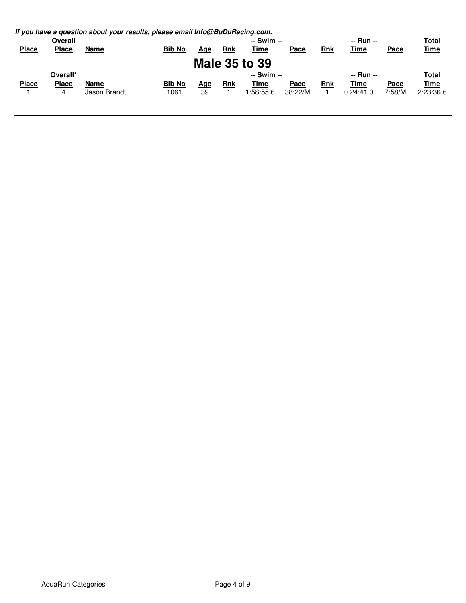|              |                | If you have a question about your results, please email Info@BuDuRacing.com. |               |     |            |                      |         |            |             |             |             |
|--------------|----------------|------------------------------------------------------------------------------|---------------|-----|------------|----------------------|---------|------------|-------------|-------------|-------------|
|              | <b>Overall</b> |                                                                              |               |     |            | -- Swim --           |         | -- Run --  |             |             | Total       |
| <b>Place</b> | <b>Place</b>   | Name                                                                         | <b>Bib No</b> | Age | <b>Rnk</b> | <u>Time</u>          | Pace    | <b>Rnk</b> | <b>Time</b> | <u>Pace</u> | <u>Time</u> |
|              |                |                                                                              |               |     |            | <b>Male 35 to 39</b> |         |            |             |             |             |
|              | Overall*       |                                                                              |               |     |            | -- Swim --           |         |            | -- Run --   |             | Total       |
| <b>Place</b> | <b>Place</b>   | Name                                                                         | <b>Bib No</b> | Age | <b>Rnk</b> | Time                 | Pace    | <b>Rnk</b> | Time        | <b>Pace</b> | <b>Time</b> |
|              | 4              | Jason Brandt                                                                 | 1061          | 39  |            | 1:58:55.6            | 38:22/M |            | 0:24:41.0   | 7:58/M      | 2:23:36.6   |
|              |                |                                                                              |               |     |            |                      |         |            |             |             |             |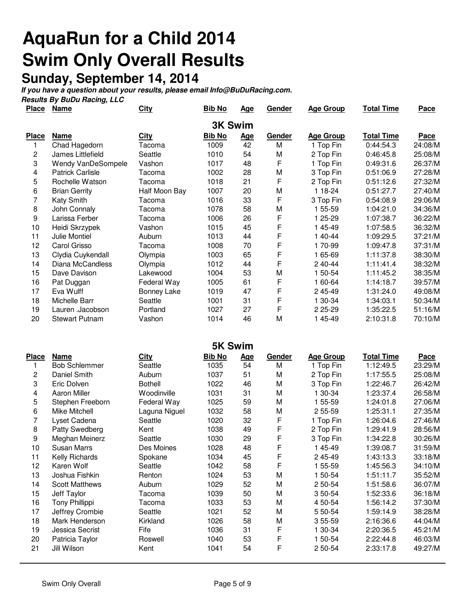# **AquaRun for a Child 2014 Swim Only Overall Results**

#### **Sunday, September 14, 2014**

**If you have a question about your results, please email Info@BuDuRacing.com.**

**Results By BuDu Racing, LLC**

| <b>Place</b>   | <u>Name</u>             | <u>City</u>        | <b>Bib No</b>  | <u>Age</u> | <b>Gender</b> | <b>Age Group</b> | <b>Total Time</b> | <u>Pace</u> |
|----------------|-------------------------|--------------------|----------------|------------|---------------|------------------|-------------------|-------------|
|                |                         |                    | <b>3K Swim</b> |            |               |                  |                   |             |
| <b>Place</b>   | <b>Name</b>             | City               | <b>Bib No</b>  | <u>Age</u> | <b>Gender</b> | <b>Age Group</b> | <b>Total Time</b> | <b>Pace</b> |
|                | Chad Hagedorn           | Tacoma             | 1009           | 42         | M             | 1 Top Fin        | 0:44:54.3         | 24:08/M     |
| $\overline{2}$ | James Littlefield       | Seattle            | 1010           | 54         | M             | 2 Top Fin        | 0:46:45.8         | 25:08/M     |
| 3              | Wendy VanDeSompele      | Vashon             | 1017           | 48         | F             | 1 Top Fin        | 0:49:31.6         | 26:37/M     |
| 4              | <b>Patrick Carlisle</b> | Tacoma             | 1002           | 28         | M             | 3 Top Fin        | 0:51:06.9         | 27:28/M     |
| 5              | Rochelle Watson         | Tacoma             | 1018           | 21         | F             | 2 Top Fin        | 0:51:12.6         | 27:32/M     |
| 6              | <b>Brian Gerrity</b>    | Half Moon Bay      | 1007           | 20         | M             | 1 18 24          | 0:51:27.7         | 27:40/M     |
| 7              | Katy Smith              | Tacoma             | 1016           | 33         | F             | 3 Top Fin        | 0:54:08.9         | 29:06/M     |
| 8              | John Connaly            | Tacoma             | 1078           | 58         | M             | 1 55-59          | 1:04:21.0         | 34:36/M     |
| 9              | Larissa Ferber          | Tacoma             | 1006           | 26         | F             | 1 25-29          | 1:07:38.7         | 36:22/M     |
| 10             | Heidi Skrzypek          | Vashon             | 1015           | 45         | F             | 145-49           | 1:07:58.5         | 36:32/M     |
| 11             | <b>Julie Montiel</b>    | Auburn             | 1013           | 44         | F             | 1 40 44          | 1:09:29.5         | 37:21/M     |
| 12             | Carol Grisso            | Tacoma             | 1008           | 70         | F             | 170-99           | 1:09:47.8         | 37:31/M     |
| 13             | Clydia Cuykendall       | Olympia            | 1003           | 65         | F             | 1 65-69          | 1:11:37.8         | 38:30/M     |
| 14             | Diana McCandless        | Olympia            | 1012           | 44         | F             | 2 40 44          | 1:11:41.4         | 38:32/M     |
| 15             | Dave Davison            | Lakewood           | 1004           | 53         | M             | 1 50 54          | 1:11:45.2         | 38:35/M     |
| 16             | Pat Duggan              | Federal Way        | 1005           | 61         | F             | 1 60 64          | 1:14:18.7         | 39:57/M     |
| 17             | Eva Wulff               | <b>Bonney Lake</b> | 1019           | 47         | F             | 2 45 49          | 1:31:24.0         | 49:08/M     |
| 18             | Michelle Barr           | Seattle            | 1001           | 31         | F             | 1 30-34          | 1:34:03.1         | 50:34/M     |
| 19             | Lauren .Jacobson        | Portland           | 1027           | 27         | F             | 2 25 - 29        | 1:35:22.5         | 51:16/M     |
| 20             | <b>Stewart Putnam</b>   | Vashon             | 1014           | 46         | М             | 1 45-49          | 2:10:31.8         | 70:10/M     |

|              | <b>5K Swim</b>        |                |               |            |               |                  |                   |             |  |  |  |
|--------------|-----------------------|----------------|---------------|------------|---------------|------------------|-------------------|-------------|--|--|--|
| <b>Place</b> | <b>Name</b>           | <b>City</b>    | <b>Bib No</b> | <u>Age</u> | <b>Gender</b> | <b>Age Group</b> | <b>Total Time</b> | <u>Pace</u> |  |  |  |
| 1            | <b>Bob Schlemmer</b>  | Seattle        | 1035          | 54         | M             | 1 Top Fin        | 1:12:49.5         | 23:29/M     |  |  |  |
| 2            | Daniel Smith          | Auburn         | 1037          | 51         | M             | 2 Top Fin        | 1:17:55.5         | 25:08/M     |  |  |  |
| 3            | Eric Dolven           | <b>Bothell</b> | 1022          | 46         | M             | 3 Top Fin        | 1:22:46.7         | 26:42/M     |  |  |  |
| 4            | <b>Aaron Miller</b>   | Woodinville    | 1031          | 31         | M             | 1 30-34          | 1:23:37.4         | 26:58/M     |  |  |  |
| 5            | Stephen Freeborn      | Federal Way    | 1025          | 59         | M             | 1 55-59          | 1:24:01.8         | 27:06/M     |  |  |  |
| 6            | Mike Mitchell         | Laguna Niguel  | 1032          | 58         | M             | 2 55-59          | 1:25:31.1         | 27:35/M     |  |  |  |
| 7            | Lyset Cadena          | Seattle        | 1020          | 32         | F             | 1 Top Fin        | 1:26:04.6         | 27:46/M     |  |  |  |
| 8            | Patty Swedberg        | Kent           | 1038          | 49         | F             | 2 Top Fin        | 1:29:41.9         | 28:56/M     |  |  |  |
| 9            | Meghan Meinerz        | Seattle        | 1030          | 29         | F             | 3 Top Fin        | 1:34:22.8         | 30:26/M     |  |  |  |
| 10           | Susan Marrs           | Des Moines     | 1028          | 48         | F             | 1 45 49          | 1:39:08.7         | 31:59/M     |  |  |  |
| 11           | Kelly Richards        | Spokane        | 1034          | 45         | F             | 245-49           | 1:43:13.3         | 33:18/M     |  |  |  |
| 12           | Karen Wolf            | Seattle        | 1042          | 58         | F             | 1 55-59          | 1:45:56.3         | 34:10/M     |  |  |  |
| 13           | Joshua Fishkin        | Renton         | 1024          | 53         | M             | 1 50-54          | 1:51:11.7         | 35:52/M     |  |  |  |
| 14           | <b>Scott Matthews</b> | Auburn         | 1029          | 52         | M             | 2 50-54          | 1:51:58.6         | 36:07/M     |  |  |  |
| 15           | Jeff Taylor           | Tacoma         | 1039          | 50         | M             | 3 50 54          | 1:52:33.6         | 36:18/M     |  |  |  |
| 16           | <b>Tony Phillippi</b> | Tacoma         | 1033          | 53         | M             | 4 50 54          | 1:56:14.2         | 37:30/M     |  |  |  |
| 17           | Jeffrey Crombie       | Seattle        | 1021          | 52         | M             | 5 50-54          | 1:59:14.9         | 38:28/M     |  |  |  |
| 18           | Mark Henderson        | Kirkland       | 1026          | 58         | M             | 3 55-59          | 2:16:36.6         | 44:04/M     |  |  |  |
| 19           | Jessica Secrist       | Fife           | 1036          | 31         | F             | 1 30-34          | 2:20:36.5         | 45:21/M     |  |  |  |
| 20           | Patricia Taylor       | Roswell        | 1040          | 53         | F             | 1 50-54          | 2:22:44.8         | 46:03/M     |  |  |  |
| 21           | Jill Wilson           | Kent           | 1041          | 54         | F             | 2 50 54          | 2:33:17.8         | 49:27/M     |  |  |  |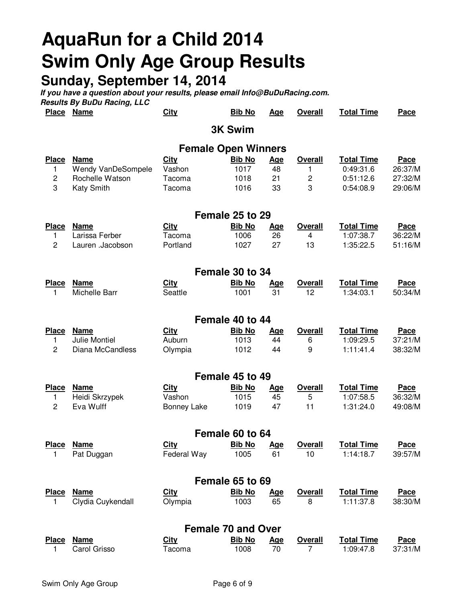# **AquaRun for a Child 2014 Swim Only Age Group Results**

# **Sunday, September 14, 2014**

|                  | Place Name                           | <b>City</b>      | <b>Bib No</b>              | Age        | <b>Overall</b>      | <b>Total Time</b>      | Pace               |
|------------------|--------------------------------------|------------------|----------------------------|------------|---------------------|------------------------|--------------------|
|                  |                                      |                  | <b>3K Swim</b>             |            |                     |                        |                    |
|                  |                                      |                  | <b>Female Open Winners</b> |            |                     |                        |                    |
| <b>Place</b>     | <b>Name</b>                          | <b>City</b>      | <b>Bib No</b>              | <u>Age</u> | <b>Overall</b>      | <b>Total Time</b>      | <b>Pace</b>        |
| 1                | Wendy VanDeSompele                   | Vashon           | 1017                       | 48         | 1                   | 0:49:31.6              | 26:37/M            |
| $\mathbf 2$<br>3 | Rochelle Watson<br><b>Katy Smith</b> | Tacoma<br>Tacoma | 1018<br>1016               | 21<br>33   | $\overline{c}$<br>3 | 0:51:12.6<br>0:54:08.9 | 27:32/M<br>29:06/M |
|                  |                                      |                  |                            |            |                     |                        |                    |
|                  |                                      |                  | Female 25 to 29            |            |                     |                        |                    |
| <b>Place</b>     | <b>Name</b>                          | <b>City</b>      | <b>Bib No</b>              | <u>Age</u> | <b>Overall</b>      | <b>Total Time</b>      | <b>Pace</b>        |
| 1                | Larissa Ferber                       | Tacoma           | 1006                       | 26         | 4                   | 1:07:38.7              | 36:22/M            |
| $\overline{c}$   | Lauren .Jacobson                     | Portland         | 1027                       | 27         | 13                  | 1:35:22.5              | 51:16/M            |
|                  |                                      |                  | Female 30 to 34            |            |                     |                        |                    |
| <b>Place</b>     | <b>Name</b>                          | <b>City</b>      | <b>Bib No</b>              | <b>Age</b> | <b>Overall</b>      | <b>Total Time</b>      | <b>Pace</b>        |
| 1                | Michelle Barr                        | Seattle          | 1001                       | 31         | 12                  | 1:34:03.1              | 50:34/M            |
|                  |                                      |                  | Female 40 to 44            |            |                     |                        |                    |
| <b>Place</b>     | <b>Name</b>                          | <b>City</b>      | <b>Bib No</b>              | <u>Age</u> | <b>Overall</b>      | <b>Total Time</b>      | <b>Pace</b>        |
| 1                | <b>Julie Montiel</b>                 | Auburn           | 1013                       | 44         | 6                   | 1:09:29.5              | 37:21/M            |
| $\overline{c}$   | Diana McCandless                     | Olympia          | 1012                       | 44         | 9                   | 1:11:41.4              | 38:32/M            |
|                  |                                      |                  | Female 45 to 49            |            |                     |                        |                    |
| <b>Place</b>     | <b>Name</b>                          | City             | <b>Bib No</b>              | <b>Age</b> | <b>Overall</b>      | <b>Total Time</b>      | Pace               |
| 1                | Heidi Skrzypek                       | Vashon           | 1015                       | 45         | 5                   | 1:07:58.5              | 36:32/M            |
| $\overline{2}$   | Eva Wulff                            | Bonney Lake      | 1019                       | 47         | 11                  | 1:31:24.0              | 49:08/M            |
|                  |                                      |                  | Female 60 to 64            |            |                     |                        |                    |
| <b>Place</b>     | <b>Name</b>                          | City             | <b>Bib No</b>              | Age        | <b>Overall</b>      | <b>Total Time</b>      | Pace               |
| 1                | Pat Duggan                           | Federal Way      |                            | 1005 61    | 10                  | 1:14:18.7              | 39:57/M            |
|                  |                                      |                  | Female 65 to 69            |            |                     |                        |                    |
| <u>Place</u>     | <b>Name</b>                          | <b>City</b>      | <b>Bib No</b>              | <u>Age</u> | <b>Overall</b>      | <b>Total Time</b>      | <b>Pace</b>        |
| 1.               | Clydia Cuykendall                    | Olympia          | 1003                       | 65         | 8                   | 1:11:37.8              | 38:30/M            |
|                  |                                      |                  | <b>Female 70 and Over</b>  |            |                     |                        |                    |
|                  | Place Name                           | <b>City</b>      | <b>Bib No</b>              | <u>Age</u> | <b>Overall</b>      | <b>Total Time</b>      | <b>Pace</b>        |
|                  | Carol Grisso                         | Tacoma           | 1008                       | 70         | $\overline{7}$      | 1:09:47.8              | 37:31/M            |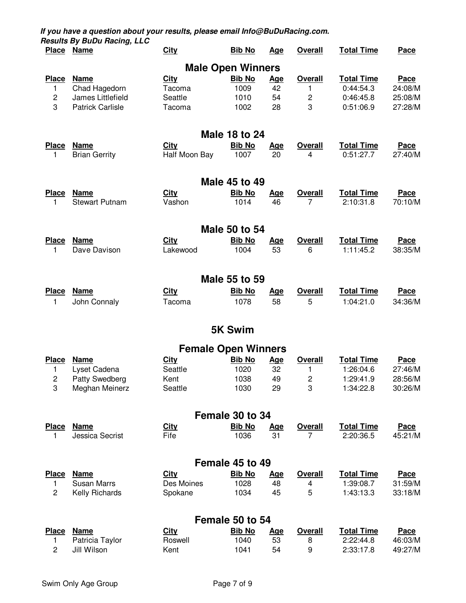| <b>Place</b>            | <b>Name</b>             | <b>City</b>   | <b>Bib No</b>                         | <u>Age</u>       | <b>Overall</b> | <b>Total Time</b> | <u>Pace</u> |
|-------------------------|-------------------------|---------------|---------------------------------------|------------------|----------------|-------------------|-------------|
|                         |                         |               | <b>Male Open Winners</b>              |                  |                |                   |             |
| <b>Place</b>            | <b>Name</b>             | <b>City</b>   | <b>Bib No</b>                         | <u>Age</u>       | <b>Overall</b> | <b>Total Time</b> | <b>Pace</b> |
| 1                       | Chad Hagedorn           | Tacoma        | 1009                                  | 42               | 1              | 0:44:54.3         | 24:08/M     |
| $\overline{\mathbf{c}}$ | James Littlefield       | Seattle       | 1010                                  | 54               | $\overline{c}$ | 0:46:45.8         | 25:08/M     |
| 3                       | <b>Patrick Carlisle</b> | Tacoma        | 1002                                  | 28               | 3              | 0:51:06.9         | 27:28/M     |
|                         |                         |               |                                       |                  |                |                   |             |
| <b>Place</b>            | <b>Name</b>             | <b>City</b>   | <b>Male 18 to 24</b><br><b>Bib No</b> | <u>Age</u>       | <b>Overall</b> | <b>Total Time</b> | <b>Pace</b> |
| 1                       | <b>Brian Gerrity</b>    | Half Moon Bay | 1007                                  | 20               | 4              | 0:51:27.7         | 27:40/M     |
|                         |                         |               |                                       |                  |                |                   |             |
| <b>Place</b>            | <b>Name</b>             | <b>City</b>   | <b>Male 45 to 49</b><br><b>Bib No</b> | <u>Age</u>       | <b>Overall</b> | <b>Total Time</b> | <b>Pace</b> |
| 1                       | <b>Stewart Putnam</b>   | Vashon        | 1014                                  | 46               | 7              | 2:10:31.8         | 70:10/M     |
|                         |                         |               |                                       |                  |                |                   |             |
| <b>Place</b>            | <b>Name</b>             | <b>City</b>   | <b>Male 50 to 54</b><br><b>Bib No</b> |                  | <b>Overall</b> | <b>Total Time</b> | Pace        |
| 1                       | Dave Davison            | Lakewood      | 1004                                  | <u>Age</u><br>53 | 6              | 1:11:45.2         | 38:35/M     |
|                         |                         |               |                                       |                  |                |                   |             |
|                         |                         |               | Male 55 to 59                         |                  |                |                   |             |
| <b>Place</b>            | <b>Name</b>             | <b>City</b>   | <b>Bib No</b>                         | <u>Age</u><br>58 | <b>Overall</b> | <b>Total Time</b> | <b>Pace</b> |
| 1                       | John Connaly            | Tacoma        | 1078                                  |                  | 5              | 1:04:21.0         | 34:36/M     |
|                         |                         |               | <b>5K Swim</b>                        |                  |                |                   |             |
|                         |                         |               | <b>Female Open Winners</b>            |                  |                |                   |             |
| <b>Place</b>            | <b>Name</b>             | <b>City</b>   | <b>Bib No</b>                         | <u>Age</u>       | <b>Overall</b> | <b>Total Time</b> | <b>Pace</b> |
| 1                       | Lyset Cadena            | Seattle       | 1020                                  | 32               | 1              | 1:26:04.6         | 27:46/M     |
| $\overline{c}$          | <b>Patty Swedberg</b>   | Kent          | 1038                                  | 49               | 2              | 1:29:41.9         | 28:56/M     |
| 3                       | Meghan Meinerz          | Seattle       | 1030                                  | 29               | 3              | 1:34:22.8         | 30:26/M     |
|                         |                         |               | Female 30 to 34                       |                  |                |                   |             |
| <b>Place</b>            | <b>Name</b>             | <b>City</b>   | <b>Bib No</b>                         | <u>Age</u>       | <b>Overall</b> | <b>Total Time</b> | <b>Pace</b> |
| 1                       | Jessica Secrist         | Fife          | 1036                                  | 31               | 7              | 2:20:36.5         | 45:21/M     |
|                         |                         |               | Female 45 to 49                       |                  |                |                   |             |
| <b>Place</b>            | <b>Name</b>             | <b>City</b>   | <b>Bib No</b>                         | <u>Age</u>       | <b>Overall</b> | <b>Total Time</b> | Pace        |
| 1                       | <b>Susan Marrs</b>      | Des Moines    | 1028                                  | 48               | 4              | 1:39:08.7         | 31:59/M     |
| $\overline{c}$          | Kelly Richards          | Spokane       | 1034                                  | 45               | 5              | 1:43:13.3         | 33:18/M     |
|                         |                         |               | Female 50 to 54                       |                  |                |                   |             |
| <b>Place</b>            | <b>Name</b>             | <b>City</b>   | <b>Bib No</b>                         | <u>Age</u>       | <b>Overall</b> | <b>Total Time</b> | Pace        |
| 1                       | Patricia Taylor         | Roswell       | 1040                                  | 53               | 8              | 2:22:44.8         | 46:03/M     |
| 2                       | Jill Wilson             | Kent          | 1041                                  | 54               | 9              | 2:33:17.8         | 49:27/M     |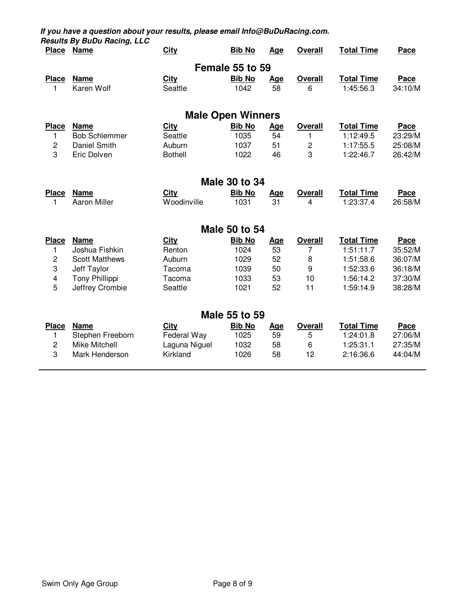|                | Place Name            | <b>City</b>              | <b>Bib No</b>        | <b>Age</b> | <b>Overall</b>   | <b>Total Time</b> | Pace        |
|----------------|-----------------------|--------------------------|----------------------|------------|------------------|-------------------|-------------|
|                |                       |                          | Female 55 to 59      |            |                  |                   |             |
| <b>Place</b>   | <b>Name</b>           | <b>City</b>              | <b>Bib No</b>        | <u>Age</u> | <b>Overall</b>   | <b>Total Time</b> | <b>Pace</b> |
| 1              | Karen Wolf            | Seattle                  | 1042                 | 58         | 6                | 1:45:56.3         | 34:10/M     |
|                |                       | <b>Male Open Winners</b> |                      |            |                  |                   |             |
| <b>Place</b>   | <b>Name</b>           | <b>City</b>              | <b>Bib No</b>        | <u>Age</u> | <b>Overall</b>   | <b>Total Time</b> | Pace        |
| 1              | <b>Bob Schlemmer</b>  | Seattle                  | 1035                 | 54         | 1                | 1:12:49.5         | 23:29/M     |
| $\overline{c}$ | Daniel Smith          | Auburn                   | 1037                 | 51         | $\overline{c}$   | 1:17:55.5         | 25:08/M     |
| 3              | Eric Dolven           | <b>Bothell</b>           | 1022                 | 46         | 3                | 1:22:46.7         | 26:42/M     |
|                |                       |                          | <b>Male 30 to 34</b> |            |                  |                   |             |
| <b>Place</b>   | <b>Name</b>           | <b>City</b>              | <b>Bib No</b>        | <u>Age</u> | <b>Overall</b>   | <b>Total Time</b> | Pace        |
| 1              | <b>Aaron Miller</b>   | Woodinville              | 1031                 | 31         | 4                | 1:23:37.4         | 26:58/M     |
|                |                       |                          | <b>Male 50 to 54</b> |            |                  |                   |             |
| <b>Place</b>   | <b>Name</b>           | <b>City</b>              | <b>Bib No</b>        | <u>Age</u> | <b>Overall</b>   | <b>Total Time</b> | Pace        |
| 1              | Joshua Fishkin        | Renton                   | 1024                 | 53         | 7                | 1:51:11.7         | 35:52/M     |
| 2              | <b>Scott Matthews</b> | Auburn                   | 1029                 | 52         | 8                | 1:51:58.6         | 36:07/M     |
| 3              | Jeff Taylor           | Tacoma                   | 1039                 | 50         | $\boldsymbol{9}$ | 1:52:33.6         | 36:18/M     |
| 4              | Tony Phillippi        | Tacoma                   | 1033                 | 53         | 10               | 1:56:14.2         | 37:30/M     |
| 5              | Jeffrey Crombie       | Seattle                  | 1021                 | 52         | 11               | 1:59:14.9         | 38:28/M     |
|                |                       |                          | <b>Male 55 to 59</b> |            |                  |                   |             |
| <b>Place</b>   | <b>Name</b>           | <b>City</b>              | <b>Bib No</b>        | <u>Age</u> | <b>Overall</b>   | <b>Total Time</b> | Pace        |
| 1              | Stephen Freeborn      | Federal Way              | 1025                 | 59         | 5                | 1:24:01.8         | 27:06/M     |
| $\overline{c}$ | <b>Mike Mitchell</b>  | Laguna Niguel            | 1032                 | 58         | 6                | 1:25:31.1         | 27:35/M     |
| 3              | Mark Henderson        | Kirkland                 | 1026                 | 58         | 12               | 2:16:36.6         | 44:04/M     |
|                |                       |                          |                      |            |                  |                   |             |